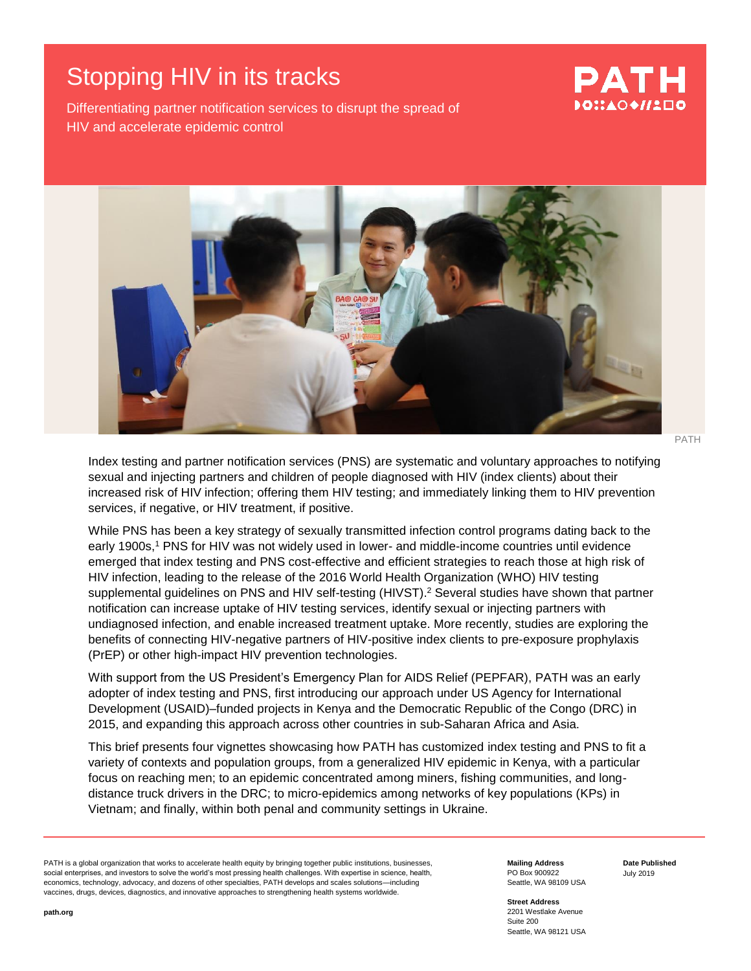# Stopping HIV in its tracks

#### Differentiating partner notification services to disrupt the spread of HIV and accelerate epidemic control

# PATH DO∷AO♦//2口(



PATH

Index testing and partner notification services (PNS) are systematic and voluntary approaches to notifying sexual and injecting partners and children of people diagnosed with HIV (index clients) about their increased risk of HIV infection; offering them HIV testing; and immediately linking them to HIV prevention services, if negative, or HIV treatment, if positive.

While PNS has been a key strategy of sexually transmitted infection control programs dating back to the early 1900s,<sup>1</sup> PNS for HIV was not widely used in lower- and middle-income countries until evidence emerged that index testing and PNS cost-effective and efficient strategies to reach those at high risk of HIV infection, leading to the release of the 2016 World Health Organization (WHO) HIV testing supplemental guidelines on PNS and HIV self-testing (HIVST).<sup>2</sup> Several studies have shown that partner notification can increase uptake of HIV testing services, identify sexual or injecting partners with undiagnosed infection, and enable increased treatment uptake. More recently, studies are exploring the benefits of connecting HIV-negative partners of HIV-positive index clients to pre-exposure prophylaxis (PrEP) or other high-impact HIV prevention technologies.

With support from the US President's Emergency Plan for AIDS Relief (PEPFAR), PATH was an early adopter of index testing and PNS, first introducing our approach under US Agency for International Development (USAID)–funded projects in Kenya and the Democratic Republic of the Congo (DRC) in 2015, and expanding this approach across other countries in sub-Saharan Africa and Asia.

This brief presents four vignettes showcasing how PATH has customized index testing and PNS to fit a variety of contexts and population groups, from a generalized HIV epidemic in Kenya, with a particular focus on reaching men; to an epidemic concentrated among miners, fishing communities, and longdistance truck drivers in the DRC; to micro-epidemics among networks of key populations (KPs) in Vietnam; and finally, within both penal and community settings in Ukraine.

PATH is a global organization that works to accelerate health equity by bringing together public institutions, businesses, social enterprises, and investors to solve the world's most pressing health challenges. With expertise in science, health, economics, technology, advocacy, and dozens of other specialties, PATH develops and scales solutions—including vaccines, drugs, devices, diagnostics, and innovative approaches to strengthening health systems worldwide.

**Mailing Address** PO Box 900922 Seattle, WA 98109 USA **Date Published** July 2019

**Street Address** 2201 Westlake Avenue Suite 200 Seattle, WA 98121 USA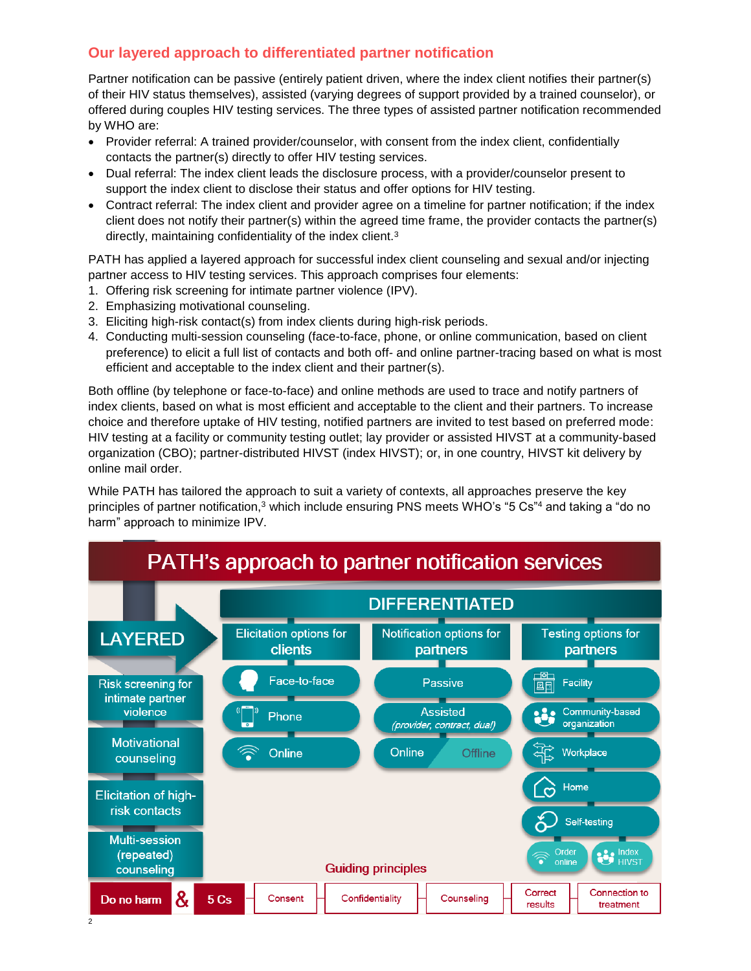# **Our layered approach to differentiated partner notification**

Partner notification can be passive (entirely patient driven, where the index client notifies their partner(s) of their HIV status themselves), assisted (varying degrees of support provided by a trained counselor), or offered during couples HIV testing services. The three types of assisted partner notification recommended by WHO are:

- Provider referral: A trained provider/counselor, with consent from the index client, confidentially contacts the partner(s) directly to offer HIV testing services.
- Dual referral: The index client leads the disclosure process, with a provider/counselor present to support the index client to disclose their status and offer options for HIV testing.
- Contract referral: The index client and provider agree on a timeline for partner notification; if the index client does not notify their partner(s) within the agreed time frame, the provider contacts the partner(s) directly, maintaining confidentiality of the index client.<sup>3</sup>

<span id="page-1-0"></span>PATH has applied a layered approach for successful index client counseling and sexual and/or injecting partner access to HIV testing services. This approach comprises four elements:

- 1. Offering risk screening for intimate partner violence (IPV).
- 2. Emphasizing motivational counseling.
- 3. Eliciting high-risk contact(s) from index clients during high-risk periods.
- 4. Conducting multi-session counseling (face-to-face, phone, or online communication, based on client preference) to elicit a full list of contacts and both off- and online partner-tracing based on what is most efficient and acceptable to the index client and their partner(s).

Both offline (by telephone or face-to-face) and online methods are used to trace and notify partners of index clients, based on what is most efficient and acceptable to the client and their partners. To increase choice and therefore uptake of HIV testing, notified partners are invited to test based on preferred mode: HIV testing at a facility or community testing outlet; lay provider or assisted HIVST at a community-based organization (CBO); partner-distributed HIVST (index HIVST); or, in one country, HIVST kit delivery by online mail order.

While PATH has tailored the approach to suit a variety of contexts, all approaches preserve the key principles of partner notification,[3](#page-1-0) which include ensuring PNS meets WHO's "5 Cs"<sup>4</sup> and taking a "do no harm" approach to minimize IPV.

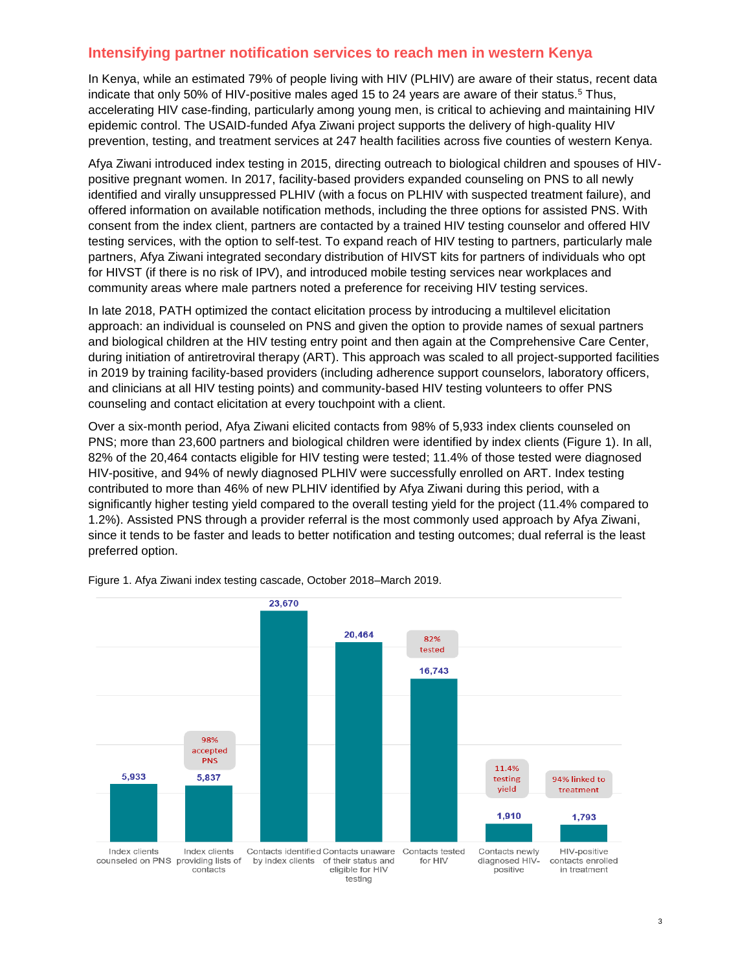#### **Intensifying partner notification services to reach men in western Kenya**

In Kenya, while an estimated 79% of people living with HIV (PLHIV) are aware of their status, recent data indicate that only 50% of HIV-positive males aged 15 to 24 years are aware of their status.<sup>5</sup> Thus, accelerating HIV case-finding, particularly among young men, is critical to achieving and maintaining HIV epidemic control. The USAID-funded Afya Ziwani project supports the delivery of high-quality HIV prevention, testing, and treatment services at 247 health facilities across five counties of western Kenya.

Afya Ziwani introduced index testing in 2015, directing outreach to biological children and spouses of HIVpositive pregnant women. In 2017, facility-based providers expanded counseling on PNS to all newly identified and virally unsuppressed PLHIV (with a focus on PLHIV with suspected treatment failure), and offered information on available notification methods, including the three options for assisted PNS. With consent from the index client, partners are contacted by a trained HIV testing counselor and offered HIV testing services, with the option to self-test. To expand reach of HIV testing to partners, particularly male partners, Afya Ziwani integrated secondary distribution of HIVST kits for partners of individuals who opt for HIVST (if there is no risk of IPV), and introduced mobile testing services near workplaces and community areas where male partners noted a preference for receiving HIV testing services.

In late 2018, PATH optimized the contact elicitation process by introducing a multilevel elicitation approach: an individual is counseled on PNS and given the option to provide names of sexual partners and biological children at the HIV testing entry point and then again at the Comprehensive Care Center, during initiation of antiretroviral therapy (ART). This approach was scaled to all project-supported facilities in 2019 by training facility-based providers (including adherence support counselors, laboratory officers, and clinicians at all HIV testing points) and community-based HIV testing volunteers to offer PNS counseling and contact elicitation at every touchpoint with a client.

Over a six-month period, Afya Ziwani elicited contacts from 98% of 5,933 index clients counseled on PNS; more than 23,600 partners and biological children were identified by index clients (Figure 1). In all, 82% of the 20,464 contacts eligible for HIV testing were tested; 11.4% of those tested were diagnosed HIV-positive, and 94% of newly diagnosed PLHIV were successfully enrolled on ART. Index testing contributed to more than 46% of new PLHIV identified by Afya Ziwani during this period, with a significantly higher testing yield compared to the overall testing yield for the project (11.4% compared to 1.2%). Assisted PNS through a provider referral is the most commonly used approach by Afya Ziwani, since it tends to be faster and leads to better notification and testing outcomes; dual referral is the least preferred option.



Figure 1. Afya Ziwani index testing cascade, October 2018–March 2019.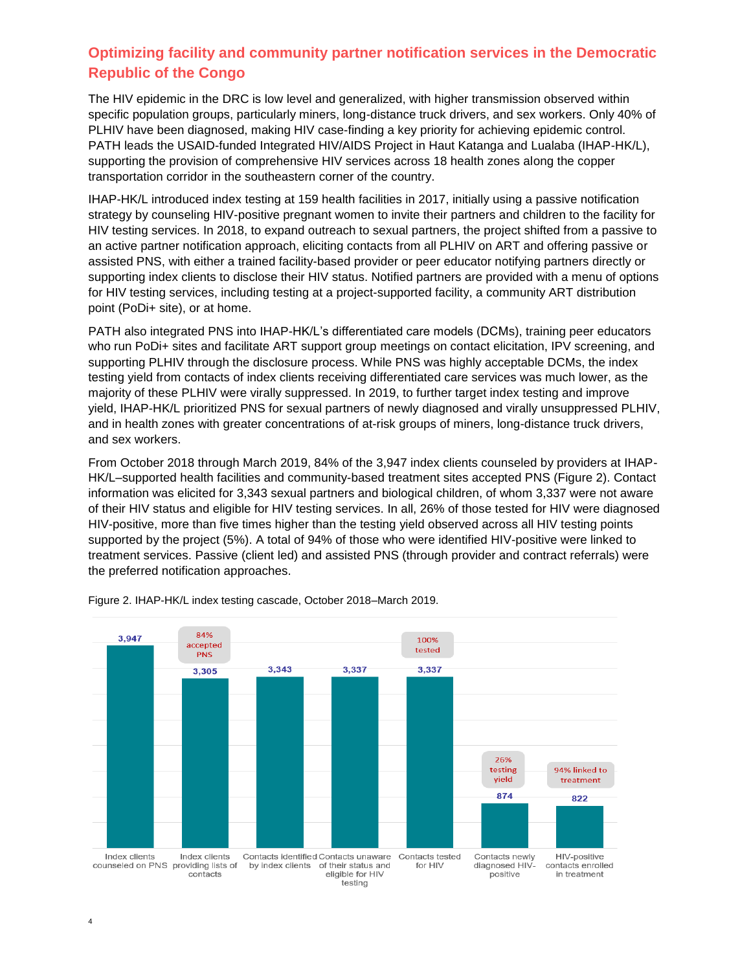# **Optimizing facility and community partner notification services in the Democratic Republic of the Congo**

The HIV epidemic in the DRC is low level and generalized, with higher transmission observed within specific population groups, particularly miners, long-distance truck drivers, and sex workers. Only 40% of PLHIV have been diagnosed, making HIV case-finding a key priority for achieving epidemic control. PATH leads the USAID-funded Integrated HIV/AIDS Project in Haut Katanga and Lualaba (IHAP-HK/L), supporting the provision of comprehensive HIV services across 18 health zones along the copper transportation corridor in the southeastern corner of the country.

IHAP-HK/L introduced index testing at 159 health facilities in 2017, initially using a passive notification strategy by counseling HIV-positive pregnant women to invite their partners and children to the facility for HIV testing services. In 2018, to expand outreach to sexual partners, the project shifted from a passive to an active partner notification approach, eliciting contacts from all PLHIV on ART and offering passive or assisted PNS, with either a trained facility-based provider or peer educator notifying partners directly or supporting index clients to disclose their HIV status. Notified partners are provided with a menu of options for HIV testing services, including testing at a project-supported facility, a community ART distribution point (PoDi+ site), or at home.

PATH also integrated PNS into IHAP-HK/L's differentiated care models (DCMs), training peer educators who run PoDi+ sites and facilitate ART support group meetings on contact elicitation, IPV screening, and supporting PLHIV through the disclosure process. While PNS was highly acceptable DCMs, the index testing yield from contacts of index clients receiving differentiated care services was much lower, as the majority of these PLHIV were virally suppressed. In 2019, to further target index testing and improve yield, IHAP-HK/L prioritized PNS for sexual partners of newly diagnosed and virally unsuppressed PLHIV, and in health zones with greater concentrations of at-risk groups of miners, long-distance truck drivers, and sex workers.

From October 2018 through March 2019, 84% of the 3,947 index clients counseled by providers at IHAP-HK/L–supported health facilities and community-based treatment sites accepted PNS (Figure 2). Contact information was elicited for 3,343 sexual partners and biological children, of whom 3,337 were not aware of their HIV status and eligible for HIV testing services. In all, 26% of those tested for HIV were diagnosed HIV-positive, more than five times higher than the testing yield observed across all HIV testing points supported by the project (5%). A total of 94% of those who were identified HIV-positive were linked to treatment services. Passive (client led) and assisted PNS (through provider and contract referrals) were the preferred notification approaches.



Figure 2. IHAP-HK/L index testing cascade, October 2018–March 2019.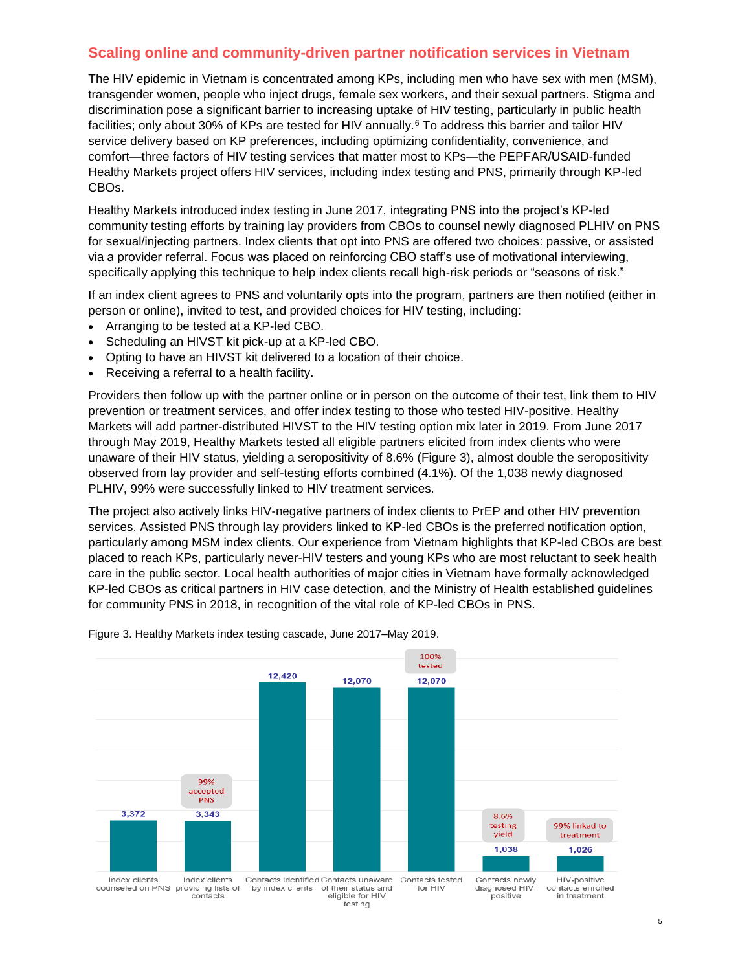#### **Scaling online and community-driven partner notification services in Vietnam**

The HIV epidemic in Vietnam is concentrated among KPs, including men who have sex with men (MSM), transgender women, people who inject drugs, female sex workers, and their sexual partners. Stigma and discrimination pose a significant barrier to increasing uptake of HIV testing, particularly in public health facilities; only about 30% of KPs are tested for HIV annually.<sup>6</sup> To address this barrier and tailor HIV service delivery based on KP preferences, including optimizing confidentiality, convenience, and comfort—three factors of HIV testing services that matter most to KPs—the PEPFAR/USAID-funded Healthy Markets project offers HIV services, including index testing and PNS, primarily through KP-led CBOs.

Healthy Markets introduced index testing in June 2017, integrating PNS into the project's KP-led community testing efforts by training lay providers from CBOs to counsel newly diagnosed PLHIV on PNS for sexual/injecting partners. Index clients that opt into PNS are offered two choices: passive, or assisted via a provider referral. Focus was placed on reinforcing CBO staff's use of motivational interviewing, specifically applying this technique to help index clients recall high-risk periods or "seasons of risk."

If an index client agrees to PNS and voluntarily opts into the program, partners are then notified (either in person or online), invited to test, and provided choices for HIV testing, including:

- Arranging to be tested at a KP-led CBO.
- Scheduling an HIVST kit pick-up at a KP-led CBO.
- Opting to have an HIVST kit delivered to a location of their choice.
- Receiving a referral to a health facility.

Providers then follow up with the partner online or in person on the outcome of their test, link them to HIV prevention or treatment services, and offer index testing to those who tested HIV-positive. Healthy Markets will add partner-distributed HIVST to the HIV testing option mix later in 2019. From June 2017 through May 2019, Healthy Markets tested all eligible partners elicited from index clients who were unaware of their HIV status, yielding a seropositivity of 8.6% (Figure 3), almost double the seropositivity observed from lay provider and self-testing efforts combined (4.1%). Of the 1,038 newly diagnosed PLHIV, 99% were successfully linked to HIV treatment services.

The project also actively links HIV-negative partners of index clients to PrEP and other HIV prevention services. Assisted PNS through lay providers linked to KP-led CBOs is the preferred notification option, particularly among MSM index clients. Our experience from Vietnam highlights that KP-led CBOs are best placed to reach KPs, particularly never-HIV testers and young KPs who are most reluctant to seek health care in the public sector. Local health authorities of major cities in Vietnam have formally acknowledged KP-led CBOs as critical partners in HIV case detection, and the Ministry of Health established guidelines for community PNS in 2018, in recognition of the vital role of KP-led CBOs in PNS.



Figure 3. Healthy Markets index testing cascade, June 2017–May 2019.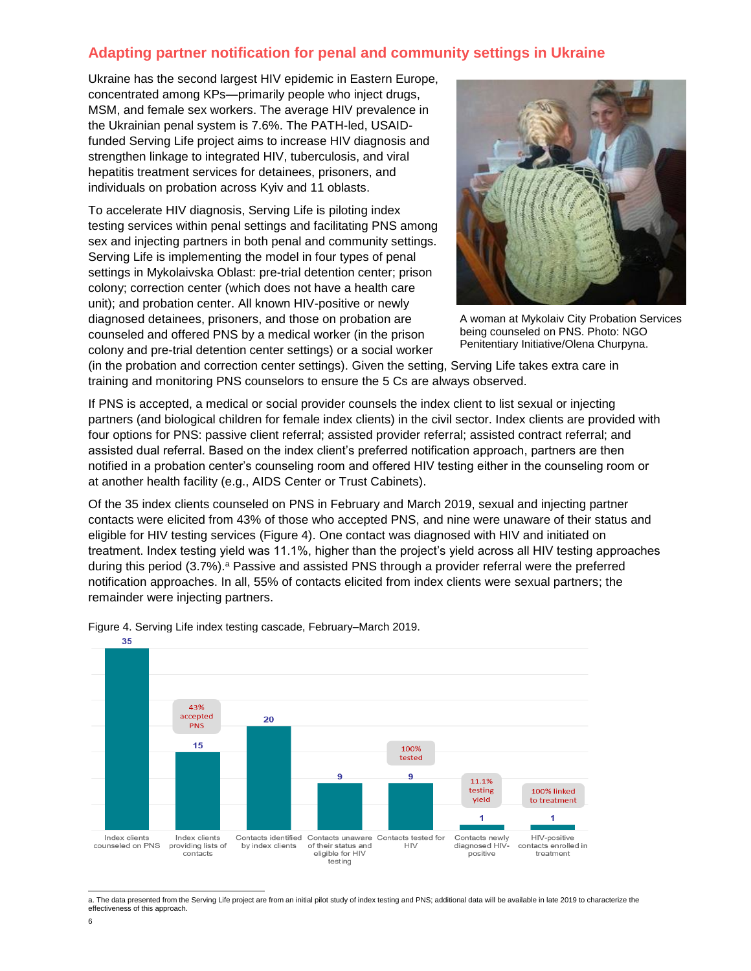### **Adapting partner notification for penal and community settings in Ukraine**

Ukraine has the second largest HIV epidemic in Eastern Europe, concentrated among KPs—primarily people who inject drugs, MSM, and female sex workers. The average HIV prevalence in the Ukrainian penal system is 7.6%. The PATH-led, USAIDfunded Serving Life project aims to increase HIV diagnosis and strengthen linkage to integrated HIV, tuberculosis, and viral hepatitis treatment services for detainees, prisoners, and individuals on probation across Kyiv and 11 oblasts.

To accelerate HIV diagnosis, Serving Life is piloting index testing services within penal settings and facilitating PNS among sex and injecting partners in both penal and community settings. Serving Life is implementing the model in four types of penal settings in Mykolaivska Oblast: pre-trial detention center; prison colony; correction center (which does not have a health care unit); and probation center. All known HIV-positive or newly diagnosed detainees, prisoners, and those on probation are counseled and offered PNS by a medical worker (in the prison colony and pre-trial detention center settings) or a social worker



A woman at Mykolaiv City Probation Services being counseled on PNS. Photo: NGO Penitentiary Initiative/Olena Churpyna.

(in the probation and correction center settings). Given the setting, Serving Life takes extra care in training and monitoring PNS counselors to ensure the 5 Cs are always observed.

If PNS is accepted, a medical or social provider counsels the index client to list sexual or injecting partners (and biological children for female index clients) in the civil sector. Index clients are provided with four options for PNS: passive client referral; assisted provider referral; assisted contract referral; and assisted dual referral. Based on the index client's preferred notification approach, partners are then notified in a probation center's counseling room and offered HIV testing either in the counseling room or at another health facility (e.g., AIDS Center or Trust Cabinets).

Of the 35 index clients counseled on PNS in February and March 2019, sexual and injecting partner contacts were elicited from 43% of those who accepted PNS, and nine were unaware of their status and eligible for HIV testing services (Figure 4). One contact was diagnosed with HIV and initiated on treatment. Index testing yield was 11.1%, higher than the project's yield across all HIV testing approaches during this period (3.7%).<sup>a</sup> Passive and assisted PNS through a provider referral were the preferred notification approaches. In all, 55% of contacts elicited from index clients were sexual partners; the remainder were injecting partners.



Figure 4. Serving Life index testing cascade, February–March 2019.

 a. The data presented from the Serving Life project are from an initial pilot study of index testing and PNS; additional data will be available in late 2019 to characterize the effectiveness of this approach.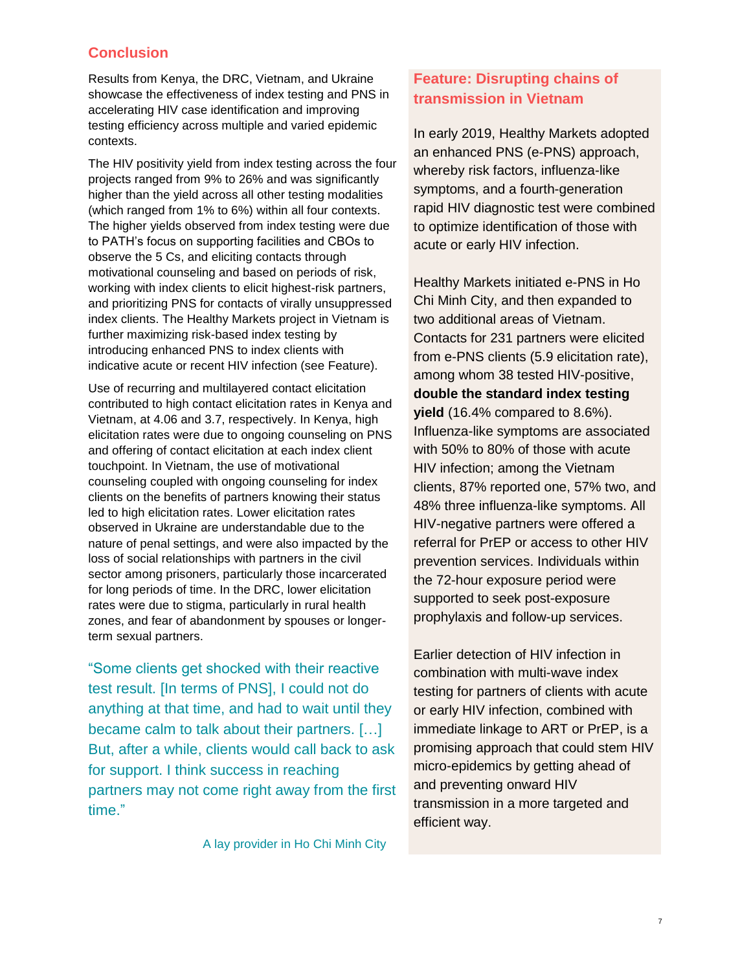#### **Conclusion**

Results from Kenya, the DRC, Vietnam, and Ukraine showcase the effectiveness of index testing and PNS in accelerating HIV case identification and improving testing efficiency across multiple and varied epidemic contexts.

The HIV positivity yield from index testing across the four projects ranged from 9% to 26% and was significantly higher than the yield across all other testing modalities (which ranged from 1% to 6%) within all four contexts. The higher yields observed from index testing were due to PATH's focus on supporting facilities and CBOs to observe the 5 Cs, and eliciting contacts through motivational counseling and based on periods of risk, working with index clients to elicit highest-risk partners, and prioritizing PNS for contacts of virally unsuppressed index clients. The Healthy Markets project in Vietnam is further maximizing risk-based index testing by introducing enhanced PNS to index clients with indicative acute or recent HIV infection (see Feature).

Use of recurring and multilayered contact elicitation contributed to high contact elicitation rates in Kenya and Vietnam, at 4.06 and 3.7, respectively. In Kenya, high elicitation rates were due to ongoing counseling on PNS and offering of contact elicitation at each index client touchpoint. In Vietnam, the use of motivational counseling coupled with ongoing counseling for index clients on the benefits of partners knowing their status led to high elicitation rates. Lower elicitation rates observed in Ukraine are understandable due to the nature of penal settings, and were also impacted by the loss of social relationships with partners in the civil sector among prisoners, particularly those incarcerated for long periods of time. In the DRC, lower elicitation rates were due to stigma, particularly in rural health zones, and fear of abandonment by spouses or longerterm sexual partners.

"Some clients get shocked with their reactive test result. [In terms of PNS], I could not do anything at that time, and had to wait until they became calm to talk about their partners. […] But, after a while, clients would call back to ask for support. I think success in reaching partners may not come right away from the first time."

A lay provider in Ho Chi Minh City

# **Feature: Disrupting chains of transmission in Vietnam**

In early 2019, Healthy Markets adopted an enhanced PNS (e-PNS) approach, whereby risk factors, influenza-like symptoms, and a fourth-generation rapid HIV diagnostic test were combined to optimize identification of those with acute or early HIV infection.

Healthy Markets initiated e-PNS in Ho Chi Minh City, and then expanded to two additional areas of Vietnam. Contacts for 231 partners were elicited from e-PNS clients (5.9 elicitation rate), among whom 38 tested HIV-positive, **double the standard index testing yield** (16.4% compared to 8.6%). Influenza-like symptoms are associated with 50% to 80% of those with acute HIV infection; among the Vietnam clients, 87% reported one, 57% two, and 48% three influenza-like symptoms. All HIV-negative partners were offered a referral for PrEP or access to other HIV prevention services. Individuals within the 72-hour exposure period were supported to seek post-exposure prophylaxis and follow-up services.

Earlier detection of HIV infection in combination with multi-wave index testing for partners of clients with acute or early HIV infection, combined with immediate linkage to ART or PrEP, is a promising approach that could stem HIV micro-epidemics by getting ahead of and preventing onward HIV transmission in a more targeted and efficient way.